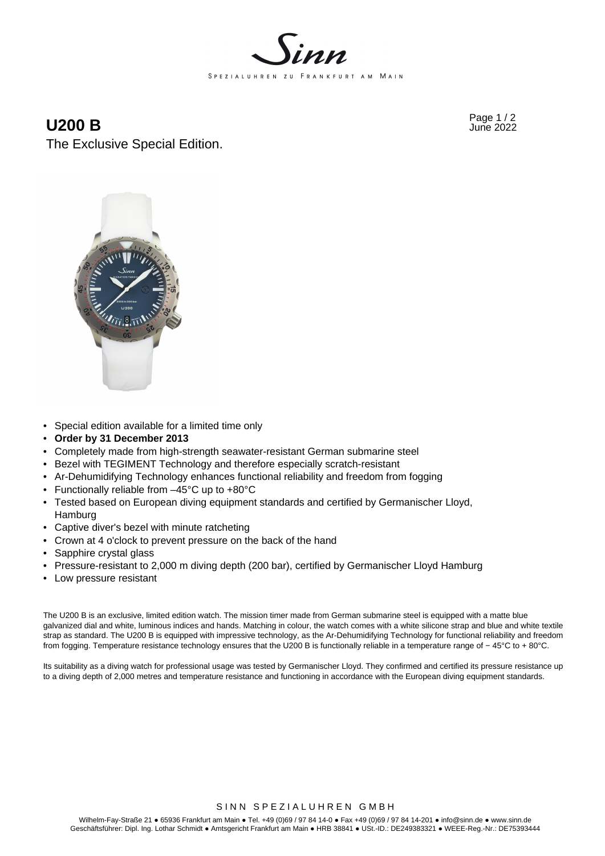

## **U200 B**  $\frac{Page 1 / 2}{June 2022}$

The Exclusive Special Edition.



- Special edition available for a limited time only
- **Order by 31 December 2013**
- Completely made from high-strength seawater-resistant German submarine steel
- Bezel with TEGIMENT Technology and therefore especially scratch-resistant
- Ar-Dehumidifying Technology enhances functional reliability and freedom from fogging
- Functionally reliable from –45°C up to +80°C
- Tested based on European diving equipment standards and certified by Germanischer Lloyd, Hamburg
- Captive diver's bezel with minute ratcheting
- Crown at 4 o'clock to prevent pressure on the back of the hand
- Sapphire crystal glass
- Pressure-resistant to 2,000 m diving depth (200 bar), certified by Germanischer Lloyd Hamburg
- Low pressure resistant

The U200 B is an exclusive, limited edition watch. The mission timer made from German submarine steel is equipped with a matte blue galvanized dial and white, luminous indices and hands. Matching in colour, the watch comes with a white silicone strap and blue and white textile strap as standard. The U200 B is equipped with impressive technology, as the Ar-Dehumidifying Technology for functional reliability and freedom from fogging. Temperature resistance technology ensures that the U200 B is functionally reliable in a temperature range of − 45°C to + 80°C.

Its suitability as a diving watch for professional usage was tested by Germanischer Lloyd. They confirmed and certified its pressure resistance up to a diving depth of 2,000 metres and temperature resistance and functioning in accordance with the European diving equipment standards.